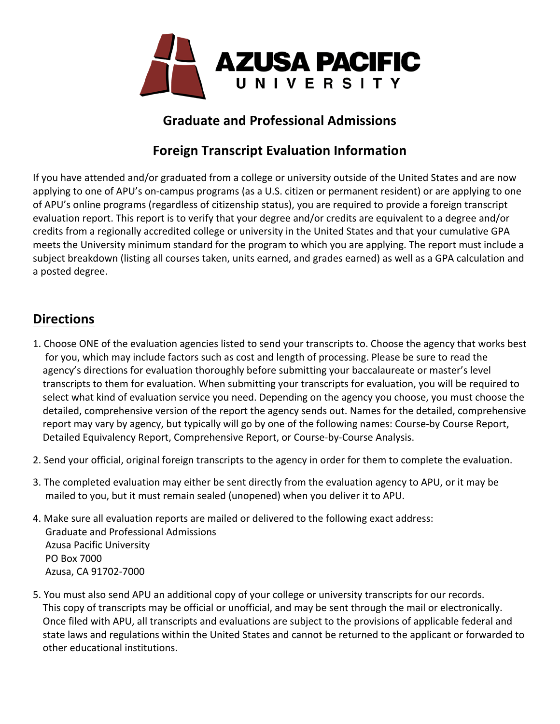

### **Graduate and Professional Admissions**

# **Foreign Transcript Evaluation Information**

If you have attended and/or graduated from a college or university outside of the United States and are now applying to one of APU's on-campus programs (as a U.S. citizen or permanent resident) or are applying to one of APU's online programs (regardless of citizenship status), you are required to provide a foreign transcript evaluation report. This report is to verify that your degree and/or credits are equivalent to a degree and/or credits from a regionally accredited college or university in the United States and that your cumulative GPA meets the University minimum standard for the program to which you are applying. The report must include a subject breakdown (listing all courses taken, units earned, and grades earned) as well as a GPA calculation and a posted degree.

## **Directions**

- 1. Choose ONE of the evaluation agencies listed to send your transcripts to. Choose the agency that works best for you, which may include factors such as cost and length of processing. Please be sure to read the agency's directions for evaluation thoroughly before submitting your baccalaureate or master's level transcripts to them for evaluation. When submitting your transcripts for evaluation, you will be required to select what kind of evaluation service you need. Depending on the agency you choose, you must choose the detailed, comprehensive version of the report the agency sends out. Names for the detailed, comprehensive report may vary by agency, but typically will go by one of the following names: Course-by Course Report, Detailed Equivalency Report, Comprehensive Report, or Course-by-Course Analysis.
- 2. Send your official, original foreign transcripts to the agency in order for them to complete the evaluation.
- 3. The completed evaluation may either be sent directly from the evaluation agency to APU, or it may be mailed to you, but it must remain sealed (unopened) when you deliver it to APU.
- 4. Make sure all evaluation reports are mailed or delivered to the following exact address: Graduate and Professional Admissions Azusa Pacific University PO Box 7000 Azusa, CA 91702-7000
- 5. You must also send APU an additional copy of your college or university transcripts for our records. This copy of transcripts may be official or unofficial, and may be sent through the mail or electronically. Once filed with APU, all transcripts and evaluations are subject to the provisions of applicable federal and state laws and regulations within the United States and cannot be returned to the applicant or forwarded to other educational institutions.